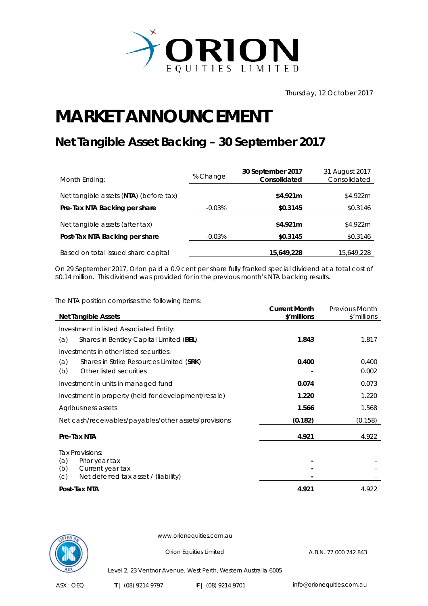

Thursday, 12 October 2017

## **MARKET ANNOUNCEMENT**

## **Net Tangible Asset Backing – 30 September 2017**

| Month Ending:                          | % Change  | 30 September 2017<br>Consolidated | 31 August 2017<br>Consolidated |
|----------------------------------------|-----------|-----------------------------------|--------------------------------|
| Net tangible assets (NTA) (before tax) |           | \$4.921m                          | \$4.922m                       |
| Pre-Tax NTA Backing per share          | $-0.03\%$ | \$0.3145                          | \$0.3146                       |
| Net tangible assets (after tax)        |           | \$4.921m                          | \$4.922m                       |
| Post-Tax NTA Backing per share         | $-0.03%$  | \$0.3145                          | \$0.3146                       |
| Based on total issued share capital    |           | 15,649,228                        | 15,649,228                     |

On 29 September 2017, Orion paid a 0.9 cent per share fully franked special dividend at a total cost of \$0.14 million. This dividend was provided for in the previous month's NTA backing results.

The NTA position comprises the following items:

|                                                       | <b>Current Month</b> | <b>Previous Month</b> |
|-------------------------------------------------------|----------------------|-----------------------|
| <b>Net Tangible Assets</b>                            | \$'millions          | \$'millions           |
| Investment in listed Associated Entity:               |                      |                       |
| (a)<br>Shares in Bentley Capital Limited (BEL)        | 1.843                | 1.817                 |
| Investments in other listed securities:               |                      |                       |
| (a)<br>Shares in Strike Resources Limited (SRK)       | 0.400                | 0.400                 |
| Other listed securities<br>(b)                        |                      | 0.002                 |
| Investment in units in managed fund                   | 0.074                | 0.073                 |
| Investment in property (held for development/resale)  | 1.220                | 1.220                 |
| Agribusiness assets                                   | 1.566                | 1.568                 |
| Net cash/receivables/payables/other assets/provisions | (0.182)              | (0.158)               |
| Pre-Tax NTA                                           | 4.921                | 4.922                 |
| Tax Provisions:                                       |                      |                       |
| Prior year tax<br>(a)                                 |                      |                       |
| (b)<br>Current year tax                               |                      |                       |
| Net deferred tax asset / (liability)<br>(C)           |                      |                       |
| Post-Tax NTA                                          | 4.921                | 4.922                 |



www.orionequities.com.au

Orion Equities Limited A.B.N. 77 000 742 843

Level 2, 23 Ventnor Avenue, West Perth, Western Australia 6005